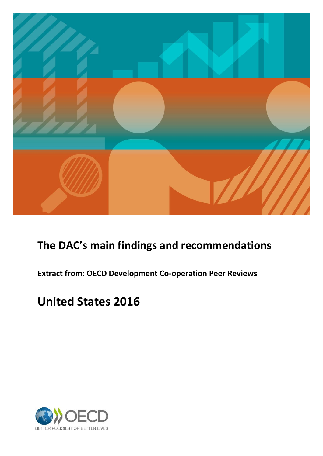

## **The DAC's main findings and recommendations**

**Extract from: OECD Development Co-operation Peer Reviews**

# **United States 2016**

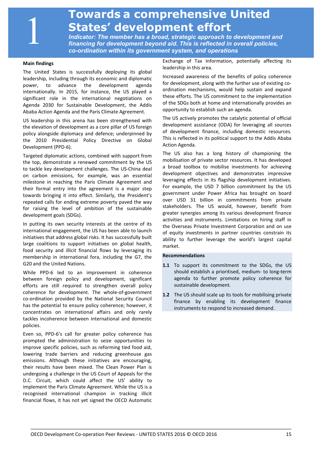## 1 **Towards a comprehensive United States' development effort**

*Indicator: The member has a broad, strategic approach to development and financing for development beyond aid. This is reflected in overall policies, co-ordination within its government system, and operations* 

## **Main findings**

The United States is successfully deploying its global leadership, including through its economic and diplomatic power, to advance the development agenda internationally. In 2015, for instance, the US played a significant role in the international negotiations on Agenda 2030 for Sustainable Development, the Addis Ababa Action Agenda and the Paris Climate Agreement.

US leadership in this arena has been strengthened with the elevation of development as a core pillar of US foreign policy alongside diplomacy and defence; underpinned by the 2010 Presidential Policy Directive on Global Development (PPD-6).

Targeted diplomatic actions, combined with support from the top, demonstrate a renewed commitment by the US to tackle key development challenges. The US-China deal on carbon emissions, for example, was an essential milestone in reaching the Paris Climate Agreement and their formal entry into the agreement is a major step towards bringing it into effect. Similarly, the President's repeated calls for ending extreme poverty paved the way for raising the level of ambition of the sustainable development goals (SDGs).

In putting its own security interests at the centre of its international engagement, the US has been able to launch initiatives that address global risks. It has successfully built large coalitions to support initiatives on global health, food security and illicit financial flows by leveraging its membership in international fora, including the G7, the G20 and the United Nations.

While PPD-6 led to an improvement in coherence between foreign policy and development, significant efforts are still required to strengthen overall policy coherence for development. The whole-of-government co-ordination provided by the National Security Council has the potential to ensure policy coherence; however, it concentrates on international affairs and only rarely tackles incoherence between international and domestic policies.

Even so, PPD-6's call for greater policy coherence has prompted the administration to seize opportunities to improve specific policies, such as reforming tied food aid, lowering trade barriers and reducing greenhouse gas emissions. Although these initiatives are encouraging, their results have been mixed. The Clean Power Plan is undergoing a challenge in the US Court of Appeals for the D.C. Circuit, which could affect the US' ability to implement the Paris Climate Agreement. While the US is a recognised international champion in tracking illicit financial flows, it has not yet signed the OECD Automatic

Exchange of Tax Information, potentially affecting its leadership in this area.

Increased awareness of the benefits of policy coherence for development, along with the further use of existing coordination mechanisms, would help sustain and expand these efforts. The US commitment to the implementation of the SDGs both at home and internationally provides an opportunity to establish such an agenda.

The US actively promotes the catalytic potential of official development assistance (ODA) for leveraging all sources of development finance, including domestic resources. This is reflected in its political support to the Addis Ababa Action Agenda.

The US also has a long history of championing the mobilisation of private sector resources. It has developed a broad toolbox to mobilise investments for achieving development objectives and demonstrates impressive leveraging effects in its flagship development initiatives. For example, the USD 7 billion commitment by the US government under Power Africa has brought on board over USD 31 billion in commitments from private stakeholders. The US would, however, benefit from greater synergies among its various development finance activities and instruments. Limitations on hiring staff in the Overseas Private Investment Corporation and on use of equity investments in partner countries constrain its ability to further leverage the world's largest capital market.

- 1.1 To support its commitment to the SDGs, the US should establish a prioritised, medium- to long-term agenda to further promote policy coherence for sustainable development.
- **1.2** The US should scale up its tools for mobilising private finance by enabling its development finance instruments to respond to increased demand.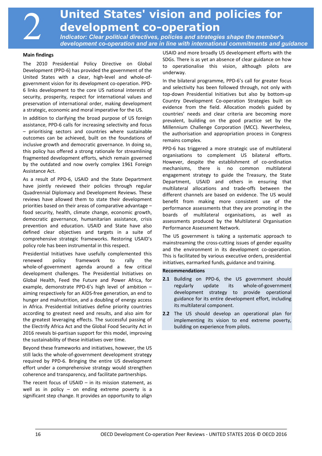## 2 **United States' vision and policies for development co-operation**

*Indicator: Clear political directives, policies and strategies shape the member's development co-operation and are in line with international commitments and guidance*

## **Main findings**

The 2010 Presidential Policy Directive on Global Development (PPD-6) has provided the government of the United States with a clear, high-level and whole-ofgovernment vision for its development co-operation. PPD-6 links development to the core US national interests of security, prosperity, respect for international values and preservation of international order, making development a strategic, economic and moral imperative for the US.

In addition to clarifying the broad purpose of US foreign assistance, PPD-6 calls for increasing selectivity and focus – prioritising sectors and countries where sustainable outcomes can be achieved, built on the foundations of inclusive growth and democratic governance. In doing so, this policy has offered a strong rationale for streamlining fragmented development efforts, which remain governed by the outdated and now overly complex 1961 Foreign Assistance Act.

As a result of PPD-6, USAID and the State Department have jointly reviewed their policies through regular Quadrennial Diplomacy and Development Reviews. These reviews have allowed them to state their development priorities based on their areas of comparative advantage – food security, health, climate change, economic growth, democratic governance, humanitarian assistance, crisis prevention and education. USAID and State have also defined clear objectives and targets in a suite of comprehensive strategic frameworks. Restoring USAID's policy role has been instrumental in this respect.

Presidential Initiatives have usefully complemented this renewed policy framework to rally the whole-of-government agenda around a few critical development challenges. The Presidential Initiatives on Global Health, Feed the Future and Power Africa, for example, demonstrate PPD-6's high level of ambition – aiming respectively for an AIDS-free generation, an end to hunger and malnutrition, and a doubling of energy access in Africa. Presidential Initiatives define priority countries according to greatest need and results, and also aim for the greatest leveraging effects. The successful passing of the Electrify Africa Act and the Global Food Security Act in 2016 reveals bi-partisan support for this model, improving the sustainability of these initiatives over time.

Beyond these frameworks and initiatives, however, the US still lacks the whole-of-government development strategy required by PPD-6. Bringing the entire US development effort under a comprehensive strategy would strengthen coherence and transparency, and facilitate partnerships.

The recent focus of USAID – in its mission statement, as well as in policy – on ending extreme poverty is a significant step change. It provides an opportunity to align

USAID and more broadly US development efforts with the SDGs. There is as yet an absence of clear guidance on how to operationalise this vision, although pilots are underway.

In the bilateral programme, PPD-6's call for greater focus and selectivity has been followed through, not only with top-down Presidential Initiatives but also by bottom-up Country Development Co-operation Strategies built on evidence from the field. Allocation models guided by countries' needs and clear criteria are becoming more prevalent, building on the good practice set by the Millennium Challenge Corporation (MCC). Nevertheless, the authorisation and appropriation process in Congress remains complex.

PPD-6 has triggered a more strategic use of multilateral organisations to complement US bilateral efforts. However, despite the establishment of co-ordination mechanisms, there is no common multilateral engagement strategy to guide the Treasury, the State Department, USAID and others in ensuring that multilateral allocations and trade-offs between the different channels are based on evidence. The US would benefit from making more consistent use of the performance assessments that they are promoting in the boards of multilateral organisations, as well as assessments produced by the Multilateral Organisation Performance Assessment Network.

The US government is taking a systematic approach to mainstreaming the cross-cutting issues of gender equality and the environment in its development co-operation. This is facilitated by various executive orders, presidential initiatives, earmarked funds, guidance and training.

- **2.1** Building on PPD-6, the US government should regularly update its whole-of-government development strategy to provide operational guidance for its entire development effort, including its multilateral component.
- **2.2** The US should develop an operational plan for implementing its vision to end extreme poverty, building on experience from pilots.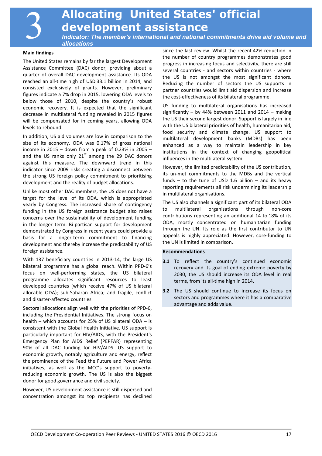3 **Allocating United States' official development assistance** 

*Indicator: The member's international and national commitments drive aid volume and allocations*

## **Main findings**

The United States remains by far the largest Development Assistance Committee (DAC) donor, providing about a quarter of overall DAC development assistance. Its ODA reached an all-time high of USD 33.1 billion in 2014, and consisted exclusively of grants. However, preliminary figures indicate a 7% drop in 2015, lowering ODA levels to below those of 2010, despite the country's robust economic recovery. It is expected that the significant decrease in multilateral funding revealed in 2015 figures will be compensated for in coming years, allowing ODA levels to rebound.

In addition, US aid volumes are low in comparison to the size of its economy. ODA was 0.17% of gross national income in 2015 – down from a peak of 0.23% in 2005 – and the US ranks only  $21<sup>st</sup>$  among the 29 DAC donors against this measure. The downward trend in this indicator since 2009 risks creating a disconnect between the strong US foreign policy commitment to prioritising development and the reality of budget allocations.

Unlike most other DAC members, the US does not have a target for the level of its ODA, which is appropriated yearly by Congress. The increased share of contingency funding in the US foreign assistance budget also raises concerns over the sustainability of development funding in the longer term. Bi-partisan support for development demonstrated by Congress in recent years could provide a basis for a longer-term commitment to financing development and thereby increase the predictability of US foreign assistance.

With 137 beneficiary countries in 2013-14, the large US bilateral programme has a global reach. Within PPD-6's focus on well-performing states, the US bilateral programme allocates significant resources to least developed countries (which receive 47% of US bilateral allocable ODA); sub-Saharan Africa; and fragile, conflict and disaster-affected countries.

Sectoral allocations align well with the priorities of PPD-6, including the Presidential Initiatives. The strong focus on health – which accounts for 25% of US bilateral ODA – is consistent with the Global Health Initiative. US support is particularly important for HIV/AIDS, with the President's Emergency Plan for AIDS Relief (PEPFAR) representing 90% of all DAC funding for HIV/AIDS. US support to economic growth, notably agriculture and energy, reflect the prominence of the Feed the Future and Power Africa initiatives, as well as the MCC's support to povertyreducing economic growth. The US is also the biggest donor for good governance and civil society.

However, US development assistance is still dispersed and concentration amongst its top recipients has declined

since the last review. Whilst the recent 42% reduction in the number of country programmes demonstrates good progress in increasing focus and selectivity, there are still several countries - and sectors within countries - where the US is not amongst the most significant donors. Reducing the number of sectors the US supports in partner countries would limit aid dispersion and increase the cost-effectiveness of its bilateral programme.

US funding to multilateral organisations has increased significantly – by 44% between 2011 and 2014 – making the US their second largest donor. Support is largely in line with the US bilateral priorities of health, humanitarian aid, food security and climate change. US support to multilateral development banks (MDBs) has been enhanced as a way to maintain leadership in key institutions in the context of changing geopolitical influences in the multilateral system.

However, the limited predictability of the US contribution, its un-met commitments to the MDBs and the vertical funds – to the tune of USD 1.6 billion – and its heavy reporting requirements all risk undermining its leadership in multilateral organisations.

The US also channels a significant part of its bilateral ODA to multilateral organisations through non-core contributions representing an additional 14 to 18% of its ODA, mostly concentrated on humanitarian funding through the UN. Its role as the first contributor to UN appeals is highly appreciated. However, core-funding to the UN is limited in comparison.

- **3.1** To reflect the country's continued economic recovery and its goal of ending extreme poverty by 2030, the US should increase its ODA level in real terms, from its all-time high in 2014.
- **3.2** The US should continue to increase its focus on sectors and programmes where it has a comparative advantage and adds value.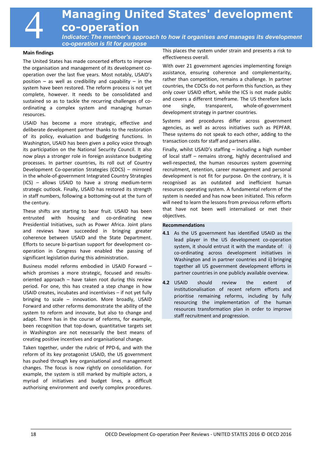*co-operation is fit for purpose*

## **Main findings**

The United States has made concerted efforts to improve the organisation and management of its development cooperation over the last five years. Most notably, USAID's position – as well as credibility and capability – in the system have been restored. The reform process is not yet complete, however. It needs to be consolidated and sustained so as to tackle the recurring challenges of coordinating a complex system and managing human resources.

USAID has become a more strategic, effective and deliberate development partner thanks to the restoration of its policy, evaluation and budgeting functions. In Washington, USAID has been given a policy voice through its participation on the National Security Council. It also now plays a stronger role in foreign assistance budgeting processes. In partner countries, its roll out of Country Development Co-operation Strategies (CDCS) – mirrored in the whole-of-government Integrated Country Strategies (ICS) – allows USAID to have a strong medium-term strategic outlook. Finally, USAID has restored its strength in staff numbers, following a bottoming-out at the turn of the century.

These shifts are starting to bear fruit. USAID has been entrusted with housing and co-ordinating new Presidential Initiatives, such as Power Africa. Joint plans and reviews have succeeded in bringing greater coherence between USAID and the State Department. Efforts to secure bi-partisan support for development cooperation in Congress have enabled the passing of significant legislation during this administration.

Business model reforms embodied in USAID Forward – which promises a more strategic, focused and resultsoriented approach – have taken root during this review period. For one, this has created a step change in how USAID creates, incubates and incentivises – if not yet fully bringing to scale – innovation. More broadly, USAID Forward and other reforms demonstrate the ability of the system to reform and innovate, but also to change and adapt. There has in the course of reforms, for example, been recognition that top-down, quantitative targets set in Washington are not necessarily the best means of creating positive incentives and organisational change.

Taken together, under the rubric of PPD-6, and with the reform of its key protagonist USAID, the US government has pushed through key organisational and management changes. The focus is now rightly on consolidation. For example, the system is still marked by multiple actors, a myriad of initiatives and budget lines, a difficult authorising environment and overly complex procedures.

This places the system under strain and presents a risk to effectiveness overall.

With over 21 government agencies implementing foreign assistance, ensuring coherence and complementarity, rather than competition, remains a challenge. In partner countries, the CDCSs do not perform this function, as they only cover USAID effort, while the ICS is not made public and covers a different timeframe. The US therefore lacks one single, transparent, whole-of-government development strategy in partner countries.

Systems and procedures differ across government agencies, as well as across initiatives such as PEPFAR. These systems do not speak to each other, adding to the transaction costs for staff and partners alike.

Finally, whilst USAID's staffing – including a high number of local staff – remains strong, highly decentralised and well-respected, the human resources system governing recruitment, retention, career management and personal development is not fit for purpose. On the contrary, it is recognised as an outdated and inefficient human resources operating system. A fundamental reform of the system is needed and has now been initiated. This reform will need to learn the lessons from previous reform efforts that have not been well internalised or met their objectives.

- **4.1** As the US government has identified USAID as the lead player in the US development co-operation system, it should entrust it with the mandate of: i) co-ordinating across development initiatives in Washington and in partner countries and ii) bringing together all US government development efforts in partner countries in one publicly available overview.
- **4.2** USAID should review the extent of institutionalisation of recent reform efforts and prioritise remaining reforms, including by fully resourcing the implementation of the human resources transformation plan in order to improve staff recruitment and progression.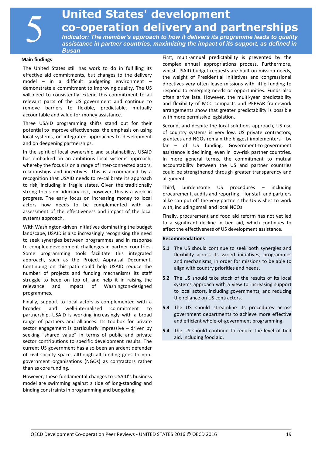**United States' development**<br> **CO-Operation delivery and pa**<br>
Indicator: The member's approach to how it delivers its prog.<br>
assistance in partner countries, maximizing the impact of its **co-operation delivery and partnerships** *Indicator: The member's approach to how it delivers its programme leads to quality* 

*assistance in partner countries, maximizing the impact of its support, as defined in Busan*

## **Main findings**

The United States still has work to do in fulfilling its effective aid commitments, but changes to the delivery model – in a difficult budgeting environment – demonstrate a commitment to improving quality. The US will need to consistently extend this commitment to all relevant parts of the US government and continue to remove barriers to flexible, predictable, mutually accountable and value-for-money assistance.

Three USAID programming shifts stand out for their potential to improve effectiveness: the emphasis on using local systems, on integrated approaches to development and on deepening partnerships.

In the spirit of local ownership and sustainability, USAID has embarked on an ambitious local systems approach, whereby the focus is on a range of inter-connected actors, relationships and incentives. This is accompanied by a recognition that USAID needs to re-calibrate its approach to risk, including in fragile states. Given the traditionally strong focus on fiduciary risk, however, this is a work in progress. The early focus on increasing money to local actors now needs to be complemented with an assessment of the effectiveness and impact of the local systems approach.

With Washington-driven initiatives dominating the budget landscape, USAID is also increasingly recognising the need to seek synergies between programmes and in response to complex development challenges in partner countries. Some programming tools facilitate this integrated approach, such as the Project Appraisal Document. Continuing on this path could help USAID reduce the number of projects and funding mechanisms its staff struggle to keep on top of, and help it in raising the relevance and impact of Washington-designed programmes.

Finally, support to local actors is complemented with a broader and well-internalised commitment to partnership. USAID is working increasingly with a broad range of partners and alliances. Its toolbox for private sector engagement is particularly impressive – driven by seeking "shared value" in terms of public and private sector contributions to specific development results. The current US government has also been an ardent defender of civil society space, although all funding goes to nongovernment organisations (NGOs) as contractors rather than as core funding.

However, these fundamental changes to USAID's business model are swimming against a tide of long-standing and binding constraints in programming and budgeting.

First, multi-annual predictability is prevented by the complex annual appropriations process. Furthermore, whilst USAID budget requests are built on mission needs, the weight of Presidential Initiatives and congressional directives very often leave missions with little funding to respond to emerging needs or opportunities. Funds also often arrive late. However, the multi-year predictability and flexibility of MCC compacts and PEPFAR framework arrangements show that greater predictability is possible with more permissive legislation.

Second, and despite the local solutions approach, US use of country systems is very low. US private contractors, grantees and NGOs remain the biggest implementers – by far – of US funding. Government-to-government assistance is declining, even in low-risk partner countries. In more general terms, the commitment to mutual accountability between the US and partner countries could be strengthened through greater transparency and alignment.

Third, burdensome US procedures – including procurement, audits and reporting – for staff and partners alike can put off the very partners the US wishes to work with, including small and local NGOs.

Finally, procurement and food aid reform has not yet led to a significant decline in tied aid, which continues to affect the effectiveness of US development assistance.

- **5.1** The US should continue to seek both synergies and flexibility across its varied initiatives, programmes and mechanisms, in order for missions to be able to align with country priorities and needs.
- **5.2** The US should take stock of the results of its local systems approach with a view to increasing support to local actors, including governments, and reducing the reliance on US contractors.
- **5.3** The US should streamline its procedures across government departments to achieve more effective and efficient whole-of-government programming.
- **5.4** The US should continue to reduce the level of tied aid, including food aid.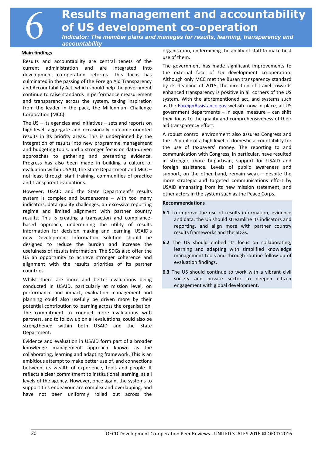6 **Results management and accountability of US development co-operation** 

*Indicator: The member plans and manages for results, learning, transparency and accountability*

## **Main findings**

Results and accountability are central tenets of the current administration and are integrated into development co-operation reforms. This focus has culminated in the passing of the Foreign Aid Transparency and Accountability Act, which should help the government continue to raise standards in performance measurement and transparency across the system, taking inspiration from the leader in the pack, the Millennium Challenge Corporation (MCC).

The US – its agencies and initiatives – sets and reports on high-level, aggregate and occasionally outcome-oriented results in its priority areas. This is underpinned by the integration of results into new programme management and budgeting tools, and a stronger focus on data-driven approaches to gathering and presenting evidence. Progress has also been made in building a culture of evaluation within USAID, the State Department and MCC – not least through staff training, communities of practice and transparent evaluations.

However, USAID and the State Department's results system is complex and burdensome – with too many indicators, data quality challenges, an excessive reporting regime and limited alignment with partner country results. This is creating a transaction and compliancebased approach, undermining the utility of results information for decision making and learning. USAID's new Development Information Solution should be designed to reduce the burden and increase the usefulness of results information. The SDGs also offer the US an opportunity to achieve stronger coherence and alignment with the results priorities of its partner countries.

Whilst there are more and better evaluations being conducted in USAID, particularly at mission level, on performance and impact, evaluation management and planning could also usefully be driven more by their potential contribution to learning across the organisation. The commitment to conduct more evaluations with partners, and to follow up on all evaluations, could also be strengthened within both USAID and the State Department.

Evidence and evaluation in USAID form part of a broader knowledge management approach known as the collaborating, learning and adapting framework. This is an ambitious attempt to make better use of, and connections between, its wealth of experience, tools and people. It reflects a clear commitment to institutional learning, at all levels of the agency. However, once again, the systems to support this endeavour are complex and overlapping, and have not been uniformly rolled out across the

organisation, undermining the ability of staff to make best use of them.

The government has made significant improvements to the external face of US development co-operation. Although only MCC met the Busan transparency standard by its deadline of 2015, the direction of travel towards enhanced transparency is positive in all corners of the US system. With the aforementioned act, and systems such as the ForeignAssistance.gov website now in place, all US government departments – in equal measure – can shift their focus to the quality and comprehensiveness of their aid transparency effort.

A robust control environment also assures Congress and the US public of a high level of domestic accountability for the use of taxpayers' money. The reporting to and communication with Congress, in particular, have resulted in stronger, more bi-partisan, support for USAID and foreign assistance. Levels of public awareness and support, on the other hand, remain weak – despite the more strategic and targeted communications effort by USAID emanating from its new mission statement, and other actors in the system such as the Peace Corps.

- **6.1** To improve the use of results information, evidence and data, the US should streamline its indicators and reporting, and align more with partner country results frameworks and the SDGs.
- **6.2** The US should embed its focus on collaborating, learning and adapting with simplified knowledge management tools and through routine follow up of evaluation findings.
- **6.3** The US should continue to work with a vibrant civil society and private sector to deepen citizen engagement with global development.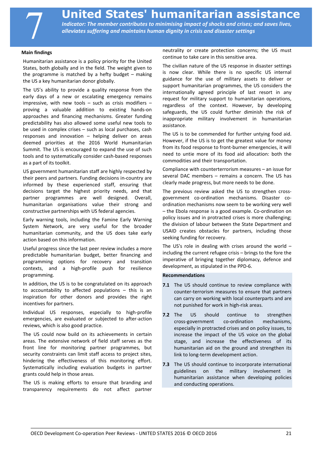## 7 **United States' humanitarian assistance**

*Indicator: The member contributes to minimising impact of shocks and crises; and saves lives, alleviates suffering and maintains human dignity in crisis and disaster settings*

### **Main findings**

Humanitarian assistance is a policy priority for the United States, both globally and in the field. The weight given to the programme is matched by a hefty budget  $-$  making the US a key humanitarian donor globally.

The US's ability to provide a quality response from the early days of a new or escalating emergency remains impressive, with new tools  $-$  such as crisis modifiers  $$ proving a valuable addition to existing hands-on approaches and financing mechanisms. Greater funding predictability has also allowed some useful new tools to be used in complex crises – such as local purchases, cash responses and innovation – helping deliver on areas deemed priorities at the 2016 World Humanitarian Summit. The US is encouraged to expand the use of such tools and to systematically consider cash-based responses as a part of its toolkit.

US government humanitarian staff are highly respected by their peers and partners. Funding decisions in-country are informed by these experienced staff, ensuring that decisions target the highest priority needs, and that partner programmes are well designed. Overall, humanitarian organisations value their strong and constructive partnerships with US federal agencies.

Early warning tools, including the Famine Early Warning System Network, are very useful for the broader humanitarian community, and the US does take early action based on this information.

Useful progress since the last peer review includes a more predictable humanitarian budget, better financing and programming options for recovery and transition contexts, and a high-profile push for resilience programming.

In addition, the US is to be congratulated on its approach to accountability to affected populations – this is an inspiration for other donors and provides the right incentives for partners.

Individual US responses, especially to high-profile emergencies, are evaluated or subjected to after-action reviews, which is also good practice.

The US could now build on its achievements in certain areas. The extensive network of field staff serves as the front line for monitoring partner programmes, but security constraints can limit staff access to project sites, hindering the effectiveness of this monitoring effort. Systematically including evaluation budgets in partner grants could help in those areas.

The US is making efforts to ensure that branding and transparency requirements do not affect partner

neutrality or create protection concerns; the US must continue to take care in this sensitive area.

The civilian nature of the US response in disaster settings is now clear. While there is no specific US internal guidance for the use of military assets to deliver or support humanitarian programmes, the US considers the internationally agreed principle of last resort in any request for military support to humanitarian operations, regardless of the context. However, by developing safeguards, the US could further diminish the risk of inappropriate military involvement in humanitarian assistance.

The US is to be commended for further untying food aid. However, if the US is to get the greatest value for money from its food response to front-burner emergencies, it will need to untie more of its food aid allocation: both the commodities and their transportation.

Compliance with counterterrorism measures – an issue for several DAC members – remains a concern. The US has clearly made progress, but more needs to be done.

The previous review asked the US to strengthen crossgovernment co-ordination mechanisms. Disaster coordination mechanisms now seem to be working very well – the Ebola response is a good example. Co-ordination on policy issues and in protracted crises is more challenging; the division of labour between the State Department and USAID creates obstacles for partners, including those seeking funding for recovery.

The US's role in dealing with crises around the world – including the current refugee crisis – brings to the fore the imperative of bringing together diplomacy, defence and development, as stipulated in the PPD-6.

- **7.1** The US should continue to review compliance with counter-terrorism measures to ensure that partners can carry on working with local counterparts and are not punished for work in high-risk areas.
- **7.2** The US should continue to strengthen cross-government co-ordination mechanisms, especially in protracted crises and on policy issues, to increase the impact of the US voice on the global stage, and increase the effectiveness of its humanitarian aid on the ground and strengthen its link to long-term development action.
- **7.3** The US should continue to incorporate international guidelines on the military involvement in humanitarian assistance when developing policies and conducting operations.